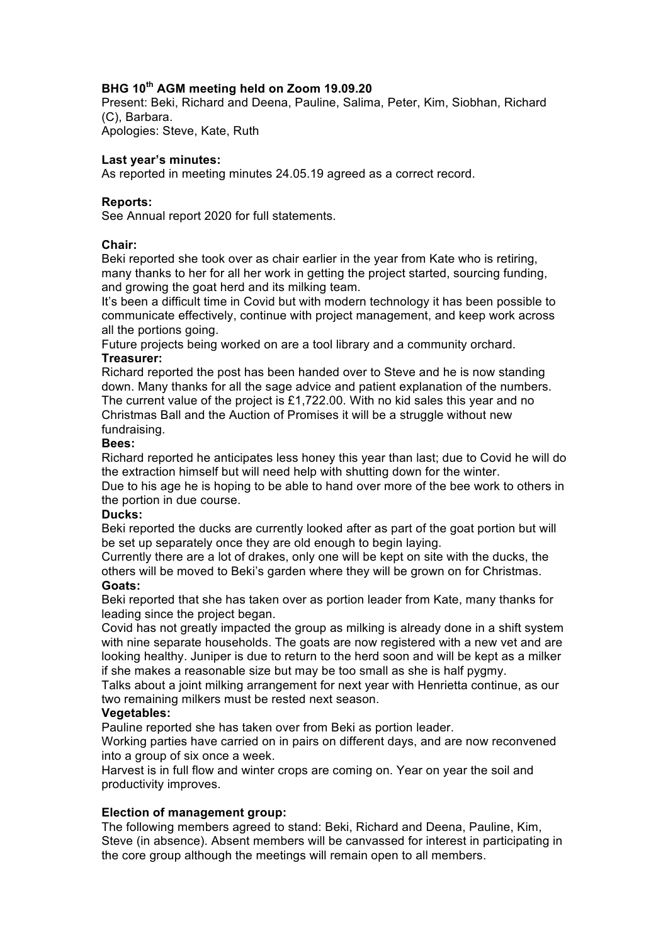# **BHG 10th AGM meeting held on Zoom 19.09.20**

Present: Beki, Richard and Deena, Pauline, Salima, Peter, Kim, Siobhan, Richard (C), Barbara.

Apologies: Steve, Kate, Ruth

## **Last year's minutes:**

As reported in meeting minutes 24.05.19 agreed as a correct record.

### **Reports:**

See Annual report 2020 for full statements.

### **Chair:**

Beki reported she took over as chair earlier in the year from Kate who is retiring, many thanks to her for all her work in getting the project started, sourcing funding, and growing the goat herd and its milking team.

It's been a difficult time in Covid but with modern technology it has been possible to communicate effectively, continue with project management, and keep work across all the portions going.

Future projects being worked on are a tool library and a community orchard.

# **Treasurer:**

Richard reported the post has been handed over to Steve and he is now standing down. Many thanks for all the sage advice and patient explanation of the numbers. The current value of the project is £1,722.00. With no kid sales this year and no Christmas Ball and the Auction of Promises it will be a struggle without new fundraising.

### **Bees:**

Richard reported he anticipates less honey this year than last; due to Covid he will do the extraction himself but will need help with shutting down for the winter.

Due to his age he is hoping to be able to hand over more of the bee work to others in the portion in due course.

# **Ducks:**

Beki reported the ducks are currently looked after as part of the goat portion but will be set up separately once they are old enough to begin laying.

Currently there are a lot of drakes, only one will be kept on site with the ducks, the others will be moved to Beki's garden where they will be grown on for Christmas.

#### **Goats:**

Beki reported that she has taken over as portion leader from Kate, many thanks for leading since the project began.

Covid has not greatly impacted the group as milking is already done in a shift system with nine separate households. The goats are now registered with a new vet and are looking healthy. Juniper is due to return to the herd soon and will be kept as a milker if she makes a reasonable size but may be too small as she is half pygmy.

Talks about a joint milking arrangement for next year with Henrietta continue, as our two remaining milkers must be rested next season.

#### **Vegetables:**

Pauline reported she has taken over from Beki as portion leader.

Working parties have carried on in pairs on different days, and are now reconvened into a group of six once a week.

Harvest is in full flow and winter crops are coming on. Year on year the soil and productivity improves.

# **Election of management group:**

The following members agreed to stand: Beki, Richard and Deena, Pauline, Kim, Steve (in absence). Absent members will be canvassed for interest in participating in the core group although the meetings will remain open to all members.